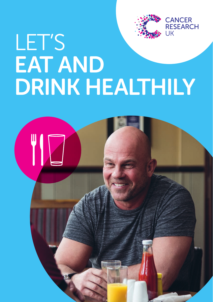

**CANCER RESEARCH** 

# **LIK** LET'S EAT AND DRINK HEALTHILY

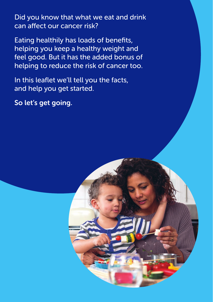Did you know that what we eat and drink can affect our cancer risk?

Eating healthily has loads of benefits, helping you keep a healthy weight and feel good. But it has the added bonus of helping to reduce the risk of cancer too.

In this leaflet we'll tell you the facts, and help you get started.

So let's get going.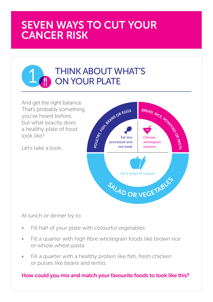# SEVEN WAYS TO CUT YOUR CANCER RISK

# THINK ABOUT WHAT'S<br>1 ON YOUR PLATE

And get the right balance. That's probably something you've heard before, but what exactly does a healthy plate of food look like?

Let's take a look.



At lunch or dinner try to:

- Fill half of your plate with colourful vegetables
- Fill a quarter with high fibre wholegrain foods like brown rice or whole wheat pasta
- Fill a quarter with a healthy protein like fish, fresh chicken or pulses like beans and lentils

#### How could you mix and match your favourite foods to look like this?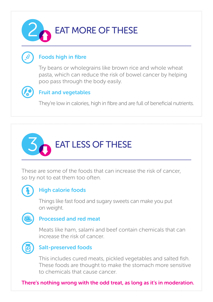# EAT MORE OF THESE

#### Foods high in fibre

Try beans or wholegrains like brown rice and whole wheat pasta, which can reduce the risk of bowel cancer by helping poo pass through the body easily.



#### Fruit and vegetables

They're low in calories, high in fibre and are full of beneficial nutrients.



These are some of the foods that can increase the risk of cancer, so try not to eat them too often.



#### High calorie foods

Things like fast food and sugary sweets can make you put on weight.



#### Processed and red meat

Meats like ham, salami and beef contain chemicals that can increase the risk of cancer.



#### Salt-preserved foods

This includes cured meats, pickled vegetables and salted fish. These foods are thought to make the stomach more sensitive to chemicals that cause cancer.

There's nothing wrong with the odd treat, as long as it's in moderation.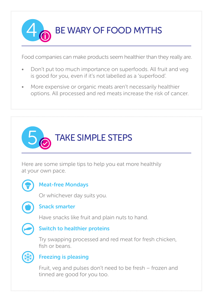BE WARY OF FOOD MYTHS

Food companies can make products seem healthier than they really are.

- Don't put too much importance on superfoods. All fruit and veg is good for you, even if it's not labelled as a 'superfood'.
- More expensive or organic meats aren't necessarily healthier options. All processed and red meats increase the risk of cancer.



Here are some simple tips to help you eat more healthily at your own pace.



#### Meat-free Mondays

Or whichever day suits you.



#### Snack smarter

Have snacks like fruit and plain nuts to hand.



#### Switch to healthier proteins

Try swapping processed and red meat for fresh chicken, fish or beans.



#### Freezing is pleasing

Fruit, veg and pulses don't need to be fresh – frozen and tinned are good for you too.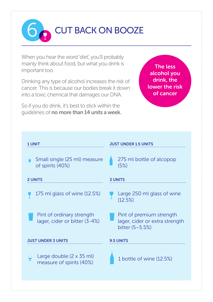6 CUT BACK ON BOOZE

When you hear the word 'diet', you'll probably mainly think about food, but what you drink is important too.

Drinking any type of alcohol increases the risk of cancer. This is because our bodies break it down into a toxic chemical that damages our DNA.

So if you do drink, it's best to stick within the guidelines of no more than 14 units a week.

The less alcohol you drink, the lower the risk of cancer

| <b>UNIT</b>                                                | <b>JUST UNDER 1.5 UNITS</b>                                                   |
|------------------------------------------------------------|-------------------------------------------------------------------------------|
| Small single (25 ml) measure<br>of spirits (40%)           | 275 ml bottle of alcopop<br>(5%)                                              |
| <b>2 UNITS</b>                                             | <b>3 UNITS</b>                                                                |
| 175 ml glass of wine (12.5%)                               | Large 250 ml glass of wine<br>(12.5%)                                         |
| Pint of ordinary strength<br>lager, cider or bitter (3-4%) | Pint of premium strength<br>lager, cider or extra strength<br>bitter (5-5.5%) |
| JUST UNDER 3 UNITS                                         | <b>9.5 UNITS</b>                                                              |
| Large double (2 x 35 ml)<br>measure of spirits (40%)       | 1 bottle of wine (12.5%)                                                      |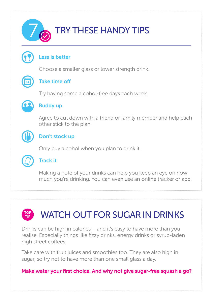

#### Less is better

Choose a smaller glass or lower strength drink.



#### Take time off

Try having some alcohol-free days each week.



#### Buddy up

Agree to cut down with a friend or family member and help each other stick to the plan.



#### Don't stock up

Only buy alcohol when you plan to drink it.



#### Track it

Making a note of your drinks can help you keep an eye on how much you're drinking. You can even use an online tracker or app.

#### TOP TIP

# WATCH OUT FOR SUGAR IN DRINKS

Drinks can be high in calories – and it's easy to have more than you realise. Especially things like fizzy drinks, energy drinks or syrup-laden high street coffees.

Take care with fruit juices and smoothies too. They are also high in sugar, so try not to have more than one small glass a day.

Make water your first choice. And why not give sugar-free squash a go?